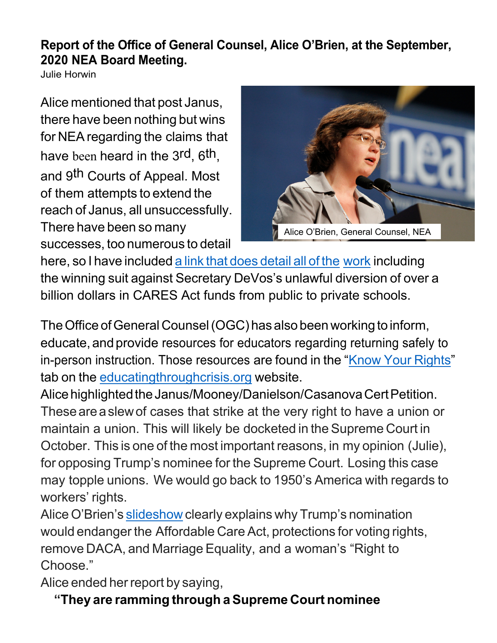## **Report of the Office of General Counsel, Alice O'Brien, at the September, 2020 NEA Board Meeting.**

Julie Horwin

Alice mentioned that post Janus, there have been nothing but wins for NEA regarding the claims that have been heard in the 3rd, 6th, and 9th Courts of Appeal. Most of them attempts to extend the reach of Janus, all unsuccessfully. There have been so many successes, too numerous to detail



here, so I have included a link that does [detail](https://6a39b437-4dea-43b7-a8fa-30d35dd0f180.filesusr.com/ugd/954986_a1777e5b03b64aa59a54102ba32561f3.pdf) all of the work including the winning suit against Secretary DeVos's unlawful diversion of over a billion dollars in CARES Act funds from public to private schools.

The Office of General Counsel (OGC) has also been working to inform, educate, and provide resources for educators regarding returning safely to in-person instruction. Those resources are found in the "Know Your [Rights"](https://educatingthroughcrisis.org/your-rights/) tab on the [educatingthroughcrisis.org](https://educatingthroughcrisis.org/) website.

Alice highlighted the Janus/Mooney/Danielson/Casanova Cert Petition. These are a slew of cases that strike at the very right to have a union or maintain a union. This will likely be docketed in the Supreme Court in October. This is one of the most important reasons, in my opinion (Julie), for opposing Trump's nominee for the Supreme Court. Losing this case may topple unions. We would go back to 1950's America with regards to workers' rights.

Alice O'Brien's [slideshow](https://6a39b437-4dea-43b7-a8fa-30d35dd0f180.filesusr.com/ugd/954986_c1eaffabcb24490dbc12856e6b718bc7.pdf) clearly explains why Trump's nomination would endanger the Affordable Care Act, protections for voting rights, remove DACA, and Marriage Equality, and a woman's "Right to Choose."

Alice ended her report by saying,

## **"They are ramming through aSupreme Court nominee**